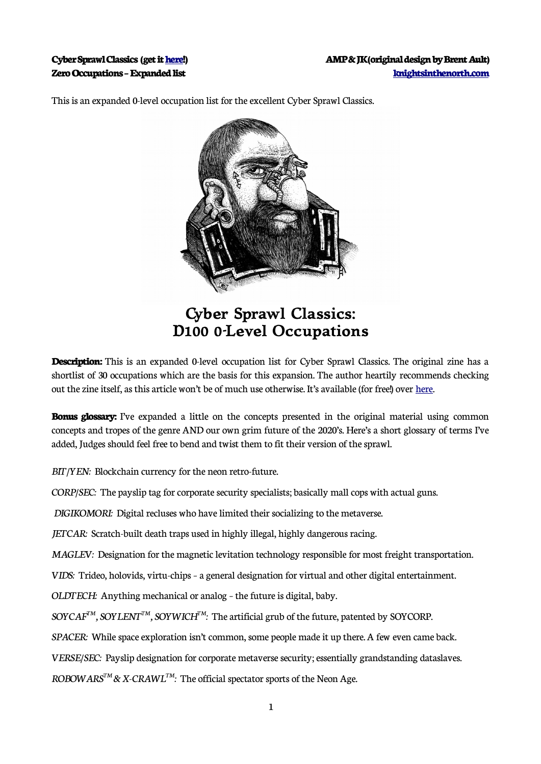

This is an expanded 0-level occupation list for the excellent Cyber Sprawl Classics.

## **Cyber Sprawl Classics: D100 0-Level Occupations**

**Description:** This is an expanded 0-level occupation list for Cyber Sprawl Classics. The original zine has a shortlist of 30 occupations which are the basis for this expansion. The author heartily recommends checking out the zine itself, as this article won't be of much use otherwise. It's available (for free!) over [here](http://csc-rpg.byethost32.com/).

**Bonus glossary:** I've expanded a little on the concepts presented in the original material using common concepts and tropes of the genre AND our own grim future of the 2020's. Here's a short glossary of terms I've added, Judges should feel free to bend and twist them to fit their version of the sprawl.

*BIT/YEN:* Blockchain currency for the neon retro-future.

*CORP/SEC:* The payslip tag for corporate security specialists; basically mall cops with actual guns.

*DIGIKOMORI:* Digital recluses who have limited their socializing to the metaverse.

*JETCAR:* Scratch-built death traps used in highly illegal, highly dangerous racing.

*MAGLEV:* Designation for the magnetic levitation technology responsible for most freight transportation.

*VIDS:* Trideo, holovids, virtu-chips – a general designation for virtual and other digital entertainment.

*OLDTECH:* Anything mechanical or analog – the future is digital, baby.

*SOYCAFTM, SOYLENTTM, SOYWICHTM :* The artificial grub of the future, patented by SOYCORP.

*SPACER:* While space exploration isn't common, some people made it up there. A few even came back.

*VERSE/SEC:* Payslip designation for corporate metaverse security; essentially grandstanding dataslaves.

*ROBOWARSTM & X-CRAWLTM :* The official spectator sports of the Neon Age.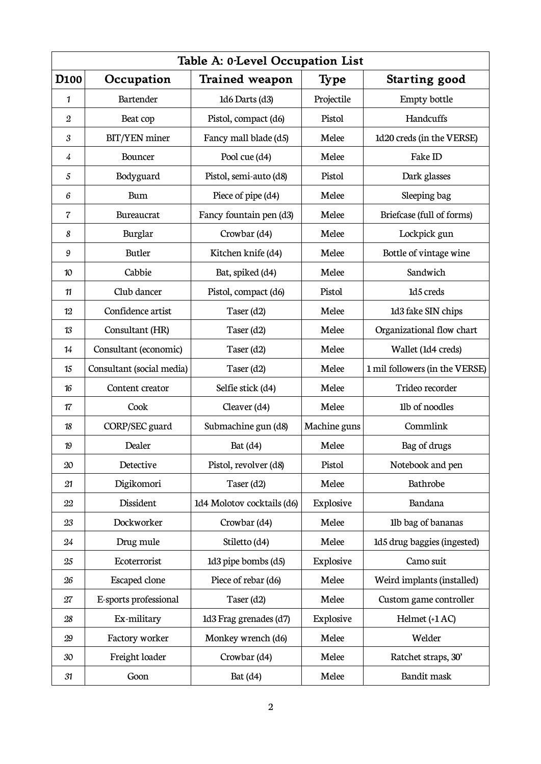| Table A: 0-Level Occupation List |                           |                            |              |                                |
|----------------------------------|---------------------------|----------------------------|--------------|--------------------------------|
| D <sub>100</sub>                 | Occupation                | <b>Trained weapon</b>      | <b>Type</b>  | Starting good                  |
| 1                                | Bartender                 | 1d6 Darts (d3)             | Projectile   | Empty bottle                   |
| $\boldsymbol{2}$                 | Beat cop                  | Pistol, compact (d6)       | Pistol       | Handcuffs                      |
| $\boldsymbol{\mathcal{S}}$       | <b>BIT/YEN</b> miner      | Fancy mall blade (d5)      | Melee        | 1d20 creds (in the VERSE)      |
| $\overline{4}$                   | Bouncer                   | Pool cue (d4)              | Melee        | Fake ID                        |
| $\sqrt{5}$                       | Bodyguard                 | Pistol, semi-auto (d8)     | Pistol       | Dark glasses                   |
| $\boldsymbol{6}$                 | <b>Bum</b>                | Piece of pipe (d4)         | Melee        | Sleeping bag                   |
| $\overline{\mathcal{C}}$         | Bureaucrat                | Fancy fountain pen (d3)    | Melee        | Briefcase (full of forms)      |
| 8                                | Burglar                   | Crowbar (d4)               | Melee        | Lockpick gun                   |
| $\boldsymbol{9}$                 | <b>Butler</b>             | Kitchen knife (d4)         | Melee        | Bottle of vintage wine         |
| 10                               | Cabbie                    | Bat, spiked (d4)           | Melee        | Sandwich                       |
| 11                               | Club dancer               | Pistol, compact (d6)       | Pistol       | 1d5 creds                      |
| 12                               | Confidence artist         | Taser (d2)                 | Melee        | 1d3 fake SIN chips             |
| 13                               | Consultant (HR)           | Taser (d2)                 | Melee        | Organizational flow chart      |
| 14                               | Consultant (economic)     | Taser (d2)                 | Melee        | Wallet (1d4 creds)             |
| 15                               | Consultant (social media) | Taser (d2)                 | Melee        | 1 mil followers (in the VERSE) |
| 16                               | Content creator           | Selfie stick (d4)          | Melee        | Trideo recorder                |
| 17                               | Cook                      | Cleaver (d4)               | Melee        | 1lb of noodles                 |
| 18                               | CORP/SEC guard            | Submachine gun (d8)        | Machine guns | Commlink                       |
| 19                               | Dealer                    | Bat $(d4)$                 | Melee        | Bag of drugs                   |
| $20\,$                           | Detective                 | Pistol, revolver (d8)      | Pistol       | Notebook and pen               |
| 21                               | Digikomori                | Taser (d2)                 | Melee        | Bathrobe                       |
| 22                               | Dissident                 | 1d4 Molotov cocktails (d6) | Explosive    | Bandana                        |
| 23                               | Dockworker                | Crowbar (d4)               | Melee        | 1lb bag of bananas             |
| 24                               | Drug mule                 | Stiletto (d4)              | Melee        | 1d5 drug baggies (ingested)    |
| 25                               | Ecoterrorist              | 1d3 pipe bombs (d5)        | Explosive    | Camo suit                      |
| 26                               | Escaped clone             | Piece of rebar (d6)        | Melee        | Weird implants (installed)     |
| 27                               | E-sports professional     | Taser (d2)                 | Melee        | Custom game controller         |
| 28                               | Ex-military               | 1d3 Frag grenades (d7)     | Explosive    | Helmet (+1 AC)                 |
| 29                               | Factory worker            | Monkey wrench (d6)         | Melee        | Welder                         |
| 30                               | Freight loader            | Crowbar (d4)               | Melee        | Ratchet straps, 30'            |
| 31                               | Goon                      | Bat $(d4)$                 | Melee        | Bandit mask                    |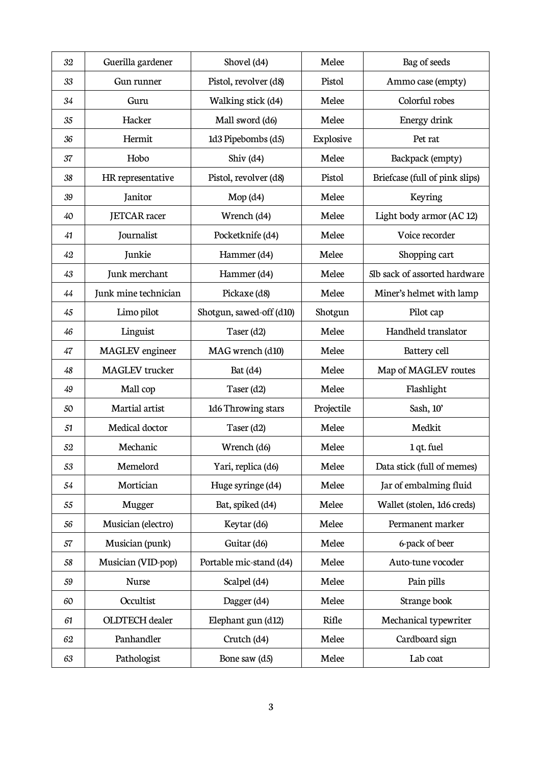| 32 | Guerilla gardener      | Shovel (d4)              | Melee      | Bag of seeds                   |
|----|------------------------|--------------------------|------------|--------------------------------|
| 33 | Gun runner             | Pistol, revolver (d8)    | Pistol     | Ammo case (empty)              |
| 34 | Guru                   | Walking stick (d4)       | Melee      | Colorful robes                 |
| 35 | Hacker                 | Mall sword (d6)          | Melee      | Energy drink                   |
| 36 | Hermit                 | 1d3 Pipebombs (d5)       | Explosive  | Pet rat                        |
| 37 | Hobo                   | Shiv $(d4)$              | Melee      | Backpack (empty)               |
| 38 | HR representative      | Pistol, revolver (d8)    | Pistol     | Briefcase (full of pink slips) |
| 39 | Janitor                | $Mop$ (d4)               | Melee      | Keyring                        |
| 40 | <b>JETCAR</b> racer    | Wrench (d4)              | Melee      | Light body armor (AC 12)       |
| 41 | Journalist             | Pocketknife (d4)         | Melee      | Voice recorder                 |
| 42 | Junkie                 | Hammer (d4)              | Melee      | Shopping cart                  |
| 43 | Junk merchant          | Hammer (d4)              | Melee      | 5lb sack of assorted hardware  |
| 44 | Junk mine technician   | Pickaxe (d8)             | Melee      | Miner's helmet with lamp       |
| 45 | Limo pilot             | Shotgun, sawed-off (d10) | Shotgun    | Pilot cap                      |
| 46 | Linguist               | Taser (d2)               | Melee      | Handheld translator            |
| 47 | <b>MAGLEV</b> engineer | MAG wrench (d10)         | Melee      | Battery cell                   |
| 48 | <b>MAGLEV</b> trucker  | Bat $(d4)$               | Melee      | Map of MAGLEV routes           |
| 49 | Mall cop               | Taser (d2)               | Melee      | Flashlight                     |
| 50 | Martial artist         | 1d6 Throwing stars       | Projectile | Sash, 10'                      |
| 51 | Medical doctor         | Taser (d2)               | Melee      | Medkit                         |
| 52 | Mechanic               | Wrench (d6)              | Melee      | 1 qt. fuel                     |
| 53 | Memelord               | Yari, replica (d6)       | Melee      | Data stick (full of memes)     |
| 54 | Mortician              | Huge syringe (d4)        | Melee      | Jar of embalming fluid         |
| 55 | Mugger                 | Bat, spiked (d4)         | Melee      | Wallet (stolen, 1d6 creds)     |
| 56 | Musician (electro)     | Keytar (d6)              | Melee      | Permanent marker               |
| 57 | Musician (punk)        | Guitar (d6)              | Melee      | 6-pack of beer                 |
| 58 | Musician (VID-pop)     | Portable mic-stand (d4)  | Melee      | Auto-tune vocoder              |
| 59 | <b>Nurse</b>           | Scalpel (d4)             | Melee      | Pain pills                     |
| 60 | Occultist              | Dagger (d4)              | Melee      | Strange book                   |
| 61 | <b>OLDTECH</b> dealer  | Elephant gun (d12)       | Rifle      | Mechanical typewriter          |
| 62 | Panhandler             | Crutch (d4)              | Melee      | Cardboard sign                 |
| 63 | Pathologist            | Bone saw (d5)            | Melee      | Lab coat                       |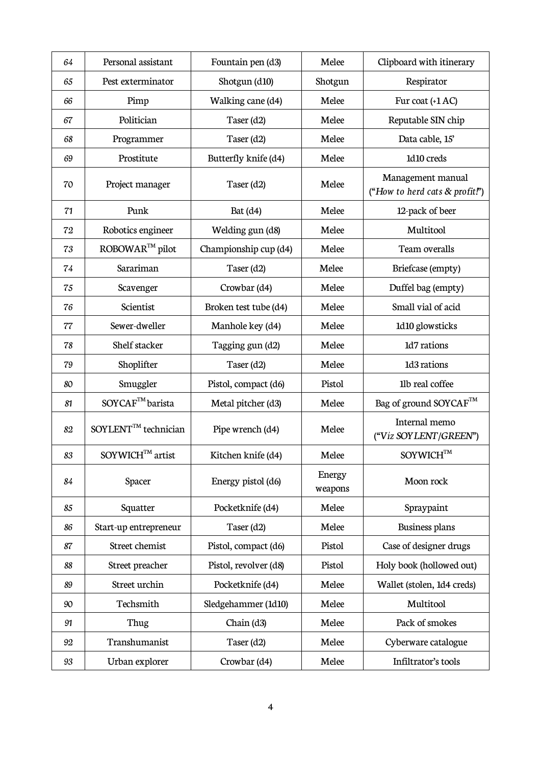| 64 | Personal assistant              | Fountain pen (d3)     | Melee             | Clipboard with itinerary                            |
|----|---------------------------------|-----------------------|-------------------|-----------------------------------------------------|
| 65 | Pest exterminator               | Shotgun (d10)         | Shotgun           | Respirator                                          |
| 66 | Pimp                            | Walking cane (d4)     | Melee             | Fur coat $(+1AC)$                                   |
| 67 | Politician                      | Taser (d2)            | Melee             | Reputable SIN chip                                  |
| 68 | Programmer                      | Taser (d2)            | Melee             | Data cable, 15'                                     |
| 69 | Prostitute                      | Butterfly knife (d4)  | Melee             | 1d10 creds                                          |
| 70 | Project manager                 | Taser (d2)            | Melee             | Management manual<br>("How to herd cats & profit.") |
| 71 | Punk                            | Bat $(d4)$            | Melee             | 12-pack of beer                                     |
| 72 | Robotics engineer               | Welding gun (d8)      | Melee             | Multitool                                           |
| 73 | ROBOWAR™ pilot                  | Championship cup (d4) | Melee             | Team overalls                                       |
| 74 | Sarariman                       | Taser (d2)            | Melee             | Briefcase (empty)                                   |
| 75 | Scavenger                       | Crowbar (d4)          | Melee             | Duffel bag (empty)                                  |
| 76 | Scientist                       | Broken test tube (d4) | Melee             | Small vial of acid                                  |
| 77 | Sewer-dweller                   | Manhole key (d4)      | Melee             | 1d10 glowsticks                                     |
| 78 | Shelf stacker                   | Tagging gun (d2)      | Melee             | 1d7 rations                                         |
| 79 | Shoplifter                      | Taser (d2)            | Melee             | 1d3 rations                                         |
| 80 | Smuggler                        | Pistol, compact (d6)  | Pistol            | 1lb real coffee                                     |
| 81 | SOYCAF™ barista                 | Metal pitcher (d3)    | Melee             | Bag of ground SOYCAF™                               |
| 82 | SOYLENT <sup>™</sup> technician | Pipe wrench (d4)      | Melee             | Internal memo<br>("Víz SOYLENT/GREEN")              |
| 83 | SOYWICH™ artist                 | Kitchen knife (d4)    | Melee             | $\mathbf{SOYWICH}^{\rm TM}$                         |
| 84 | Spacer                          | Energy pistol (d6)    | Energy<br>weapons | Moon rock                                           |
| 85 | Squatter                        | Pocketknife (d4)      | Melee             | Spraypaint                                          |
| 86 | Start-up entrepreneur           | Taser (d2)            | Melee             | <b>Business plans</b>                               |
| 87 | Street chemist                  | Pistol, compact (d6)  | Pistol            | Case of designer drugs                              |
| 88 | Street preacher                 | Pistol, revolver (d8) | Pistol            | Holy book (hollowed out)                            |
| 89 | Street urchin                   | Pocketknife (d4)      | Melee             | Wallet (stolen, 1d4 creds)                          |
| 90 | Techsmith                       | Sledgehammer (1d10)   | Melee             | Multitool                                           |
| 91 | Thug                            | Chain (d3)            | Melee             | Pack of smokes                                      |
| 92 | Transhumanist                   | Taser (d2)            | Melee             | Cyberware catalogue                                 |
| 93 | Urban explorer                  | Crowbar (d4)          | Melee             | Infiltrator's tools                                 |